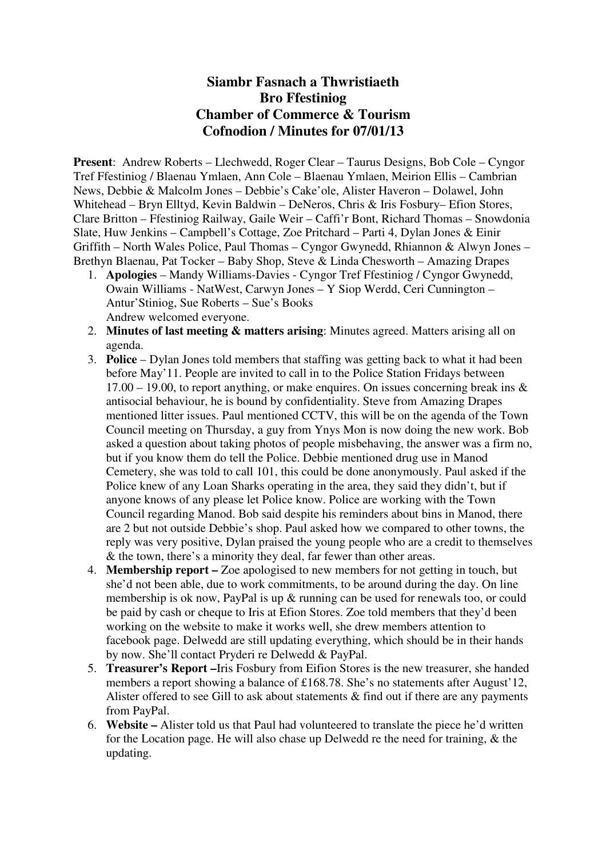## **Siambr Fasnach a Thwristiaeth Bro Ffestiniog Chamber of Commerce & Tourism Cofnodion / Minutes for 07/01/13**

**Present**: Andrew Roberts – Llechwedd, Roger Clear – Taurus Designs, Bob Cole – Cyngor Tref Ffestiniog / Blaenau Ymlaen, Ann Cole – Blaenau Ymlaen, Meirion Ellis – Cambrian News, Debbie & Malcolm Jones – Debbie's Cake'ole, Alister Haveron – Dolawel, John Whitehead – Bryn Elltyd, Kevin Baldwin – DeNeros, Chris & Iris Fosbury– Efion Stores, Clare Britton – Ffestiniog Railway, Gaile Weir – Caffi'r Bont, Richard Thomas – Snowdonia Slate, Huw Jenkins – Campbell's Cottage, Zoe Pritchard – Parti 4, Dylan Jones & Einir Griffith – North Wales Police, Paul Thomas – Cyngor Gwynedd, Rhiannon & Alwyn Jones – Brethyn Blaenau, Pat Tocker – Baby Shop, Steve & Linda Chesworth – Amazing Drapes

- 1. **Apologies** Mandy Williams-Davies Cyngor Tref Ffestiniog / Cyngor Gwynedd, Owain Williams - NatWest, Carwyn Jones – Y Siop Werdd, Ceri Cunnington – Antur'Stiniog, Sue Roberts – Sue's Books Andrew welcomed everyone.
- 2. **Minutes of last meeting & matters arising**: Minutes agreed. Matters arising all on agenda.
- 3. **Police** Dylan Jones told members that staffing was getting back to what it had been before May'11. People are invited to call in to the Police Station Fridays between  $17.00 - 19.00$ , to report anything, or make enquires. On issues concerning break ins  $\&$ antisocial behaviour, he is bound by confidentiality. Steve from Amazing Drapes mentioned litter issues. Paul mentioned CCTV, this will be on the agenda of the Town Council meeting on Thursday, a guy from Ynys Mon is now doing the new work. Bob asked a question about taking photos of people misbehaving, the answer was a firm no, but if you know them do tell the Police. Debbie mentioned drug use in Manod Cemetery, she was told to call 101, this could be done anonymously. Paul asked if the Police knew of any Loan Sharks operating in the area, they said they didn't, but if anyone knows of any please let Police know. Police are working with the Town Council regarding Manod. Bob said despite his reminders about bins in Manod, there are 2 but not outside Debbie's shop. Paul asked how we compared to other towns, the reply was very positive, Dylan praised the young people who are a credit to themselves & the town, there's a minority they deal, far fewer than other areas.
- 4. **Membership report** Zoe apologised to new members for not getting in touch, but she'd not been able, due to work commitments, to be around during the day. On line membership is ok now, PayPal is up & running can be used for renewals too, or could be paid by cash or cheque to Iris at Efion Stores. Zoe told members that they'd been working on the website to make it works well, she drew members attention to facebook page. Delwedd are still updating everything, which should be in their hands by now. She'll contact Pryderi re Delwedd & PayPal.
- 5. **Treasurer's Report –**Iris Fosbury from Eifion Stores is the new treasurer, she handed members a report showing a balance of £168.78. She's no statements after August'12, Alister offered to see Gill to ask about statements  $\&$  find out if there are any payments from PayPal.
- 6. **Website** Alister told us that Paul had volunteered to translate the piece he'd written for the Location page. He will also chase up Delwedd re the need for training, & the updating.